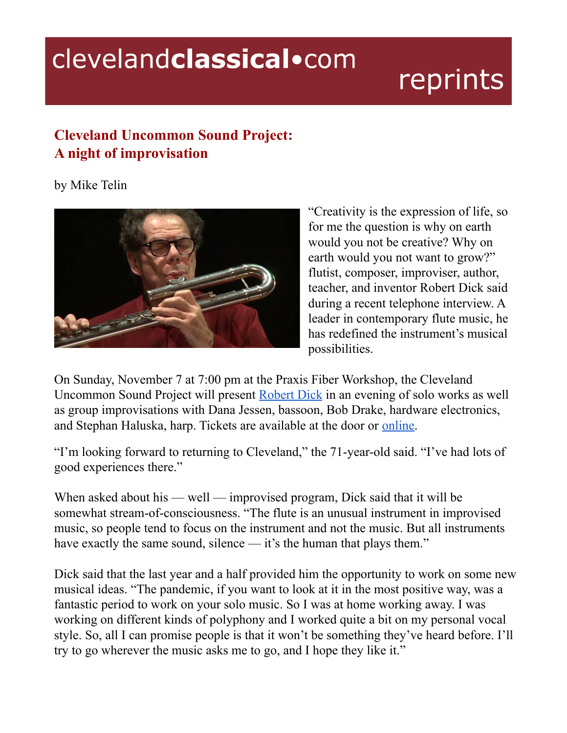## clevelandclassical.com

## reprints

## **Cleveland Uncommon Sound Project: A night of improvisation**

by Mike Telin



"Creativity is the expression of life, so for me the question is why on earth would you not be creative? Why on earth would you not want to grow?" flutist, composer, improviser, author, teacher, and inventor Robert Dick said during a recent telephone interview. A leader in contemporary flute music, he has redefined the instrument's musical possibilities.

On Sunday, November 7 at 7:00 pm at the Praxis Fiber Workshop, the Cleveland Uncommon Sound Project will present [Robert](http://robertdick.net/) Dick in an evening of solo works as well as group improvisations with Dana Jessen, bassoon, Bob Drake, hardware electronics, and Stephan Haluska, harp. Tickets are available at the door or [online.](https://www.brownpapertickets.com/event/5241641)

"I'm looking forward to returning to Cleveland," the 71-year-old said. "I've had lots of good experiences there."

When asked about his — well — improvised program, Dick said that it will be somewhat stream-of-consciousness. "The flute is an unusual instrument in improvised music, so people tend to focus on the instrument and not the music. But all instruments have exactly the same sound, silence — it's the human that plays them."

Dick said that the last year and a half provided him the opportunity to work on some new musical ideas. "The pandemic, if you want to look at it in the most positive way, was a fantastic period to work on your solo music. So I was at home working away. I was working on different kinds of polyphony and I worked quite a bit on my personal vocal style. So, all I can promise people is that it won't be something they've heard before. I'll try to go wherever the music asks me to go, and I hope they like it."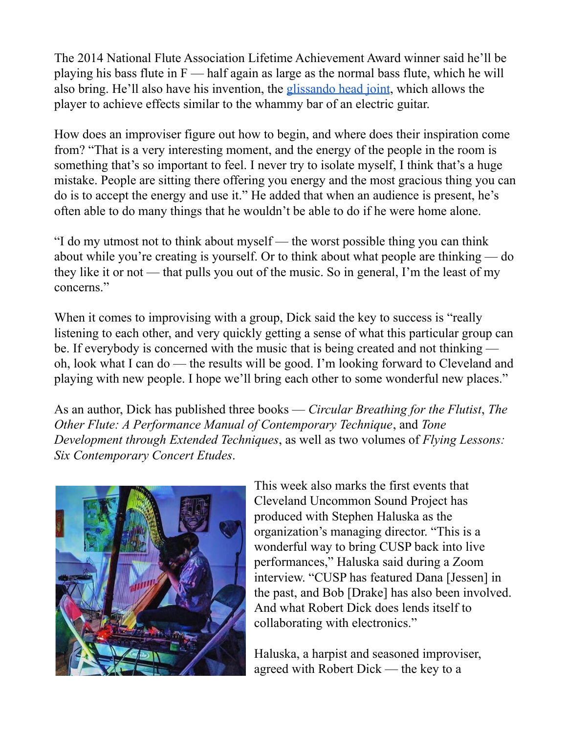The 2014 National Flute Association Lifetime Achievement Award winner said he'll be playing his bass flute in  $F$  — half again as large as the normal bass flute, which he will also bring. He'll also have his invention, the [glissando](http://robertdick.net/the-glissando-headjoint/) head joint, which allows the player to achieve effects similar to the whammy bar of an electric guitar.

How does an improviser figure out how to begin, and where does their inspiration come from? "That is a very interesting moment, and the energy of the people in the room is something that's so important to feel. I never try to isolate myself, I think that's a huge mistake. People are sitting there offering you energy and the most gracious thing you can do is to accept the energy and use it." He added that when an audience is present, he's often able to do many things that he wouldn't be able to do if he were home alone.

"I do my utmost not to think about myself — the worst possible thing you can think about while you're creating is yourself. Or to think about what people are thinking — do they like it or not — that pulls you out of the music. So in general, I'm the least of my concerns."

When it comes to improvising with a group, Dick said the key to success is "really listening to each other, and very quickly getting a sense of what this particular group can be. If everybody is concerned with the music that is being created and not thinking oh, look what I can do — the results will be good. I'm looking forward to Cleveland and playing with new people. I hope we'll bring each other to some wonderful new places."

As an author, Dick has published three books — *Circular Breathing for the Flutist*, *The Other Flute: A Performance Manual of Contemporary Technique*, and *Tone Development through Extended Techniques*, as well as two volumes of *Flying Lessons: Six Contemporary Concert Etudes*.



This week also marks the first events that Cleveland Uncommon Sound Project has produced with Stephen Haluska as the organization's managing director. "This is a wonderful way to bring CUSP back into live performances," Haluska said during a Zoom interview. "CUSP has featured Dana [Jessen] in the past, and Bob [Drake] has also been involved. And what Robert Dick does lends itself to collaborating with electronics."

Haluska, a harpist and seasoned improviser, agreed with Robert Dick — the key to a